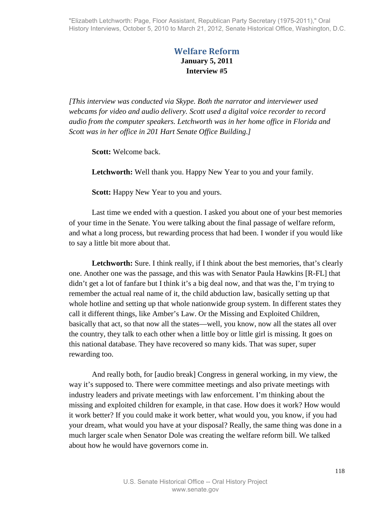## **Welfare Reform January 5, 2011 Interview #5**

*[This interview was conducted via Skype. Both the narrator and interviewer used webcams for video and audio delivery. Scott used a digital voice recorder to record audio from the computer speakers. Letchworth was in her home office in Florida and Scott was in her office in 201 Hart Senate Office Building.]* 

**Scott:** Welcome back.

**Letchworth:** Well thank you. Happy New Year to you and your family.

**Scott:** Happy New Year to you and yours.

Last time we ended with a question. I asked you about one of your best memories of your time in the Senate. You were talking about the final passage of welfare reform, and what a long process, but rewarding process that had been. I wonder if you would like to say a little bit more about that.

**Letchworth:** Sure. I think really, if I think about the best memories, that's clearly one. Another one was the passage, and this was with Senator Paula Hawkins [R-FL] that didn't get a lot of fanfare but I think it's a big deal now, and that was the, I'm trying to remember the actual real name of it, the child abduction law, basically setting up that whole hotline and setting up that whole nationwide group system. In different states they call it different things, like Amber's Law. Or the Missing and Exploited Children, basically that act, so that now all the states—well, you know, now all the states all over the country, they talk to each other when a little boy or little girl is missing. It goes on this national database. They have recovered so many kids. That was super, super rewarding too.

And really both, for [audio break] Congress in general working, in my view, the way it's supposed to. There were committee meetings and also private meetings with industry leaders and private meetings with law enforcement. I'm thinking about the missing and exploited children for example, in that case. How does it work? How would it work better? If you could make it work better, what would you, you know, if you had your dream, what would you have at your disposal? Really, the same thing was done in a much larger scale when Senator Dole was creating the welfare reform bill. We talked about how he would have governors come in.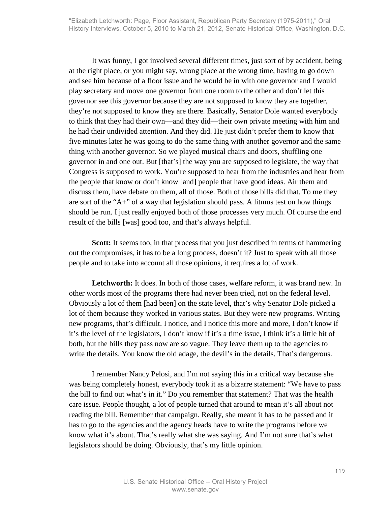It was funny, I got involved several different times, just sort of by accident, being at the right place, or you might say, wrong place at the wrong time, having to go down and see him because of a floor issue and he would be in with one governor and I would play secretary and move one governor from one room to the other and don't let this governor see this governor because they are not supposed to know they are together, they're not supposed to know they are there. Basically, Senator Dole wanted everybody to think that they had their own—and they did—their own private meeting with him and he had their undivided attention. And they did. He just didn't prefer them to know that five minutes later he was going to do the same thing with another governor and the same thing with another governor. So we played musical chairs and doors, shuffling one governor in and one out. But [that's] the way you are supposed to legislate, the way that Congress is supposed to work. You're supposed to hear from the industries and hear from the people that know or don't know [and] people that have good ideas. Air them and discuss them, have debate on them, all of those. Both of those bills did that. To me they are sort of the "A+" of a way that legislation should pass. A litmus test on how things should be run. I just really enjoyed both of those processes very much. Of course the end result of the bills [was] good too, and that's always helpful.

**Scott:** It seems too, in that process that you just described in terms of hammering out the compromises, it has to be a long process, doesn't it? Just to speak with all those people and to take into account all those opinions, it requires a lot of work.

Letchworth: It does. In both of those cases, welfare reform, it was brand new. In other words most of the programs there had never been tried, not on the federal level. Obviously a lot of them [had been] on the state level, that's why Senator Dole picked a lot of them because they worked in various states. But they were new programs. Writing new programs, that's difficult. I notice, and I notice this more and more, I don't know if it's the level of the legislators, I don't know if it's a time issue, I think it's a little bit of both, but the bills they pass now are so vague. They leave them up to the agencies to write the details. You know the old adage, the devil's in the details. That's dangerous.

I remember Nancy Pelosi, and I'm not saying this in a critical way because she was being completely honest, everybody took it as a bizarre statement: "We have to pass the bill to find out what's in it." Do you remember that statement? That was the health care issue. People thought, a lot of people turned that around to mean it's all about not reading the bill. Remember that campaign. Really, she meant it has to be passed and it has to go to the agencies and the agency heads have to write the programs before we know what it's about. That's really what she was saying. And I'm not sure that's what legislators should be doing. Obviously, that's my little opinion.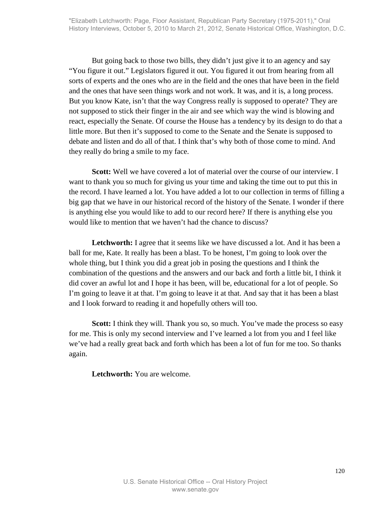But going back to those two bills, they didn't just give it to an agency and say "You figure it out." Legislators figured it out. You figured it out from hearing from all sorts of experts and the ones who are in the field and the ones that have been in the field and the ones that have seen things work and not work. It was, and it is, a long process. But you know Kate, isn't that the way Congress really is supposed to operate? They are not supposed to stick their finger in the air and see which way the wind is blowing and react, especially the Senate. Of course the House has a tendency by its design to do that a little more. But then it's supposed to come to the Senate and the Senate is supposed to debate and listen and do all of that. I think that's why both of those come to mind. And they really do bring a smile to my face.

**Scott:** Well we have covered a lot of material over the course of our interview. I want to thank you so much for giving us your time and taking the time out to put this in the record. I have learned a lot. You have added a lot to our collection in terms of filling a big gap that we have in our historical record of the history of the Senate. I wonder if there is anything else you would like to add to our record here? If there is anything else you would like to mention that we haven't had the chance to discuss?

Letchworth: I agree that it seems like we have discussed a lot. And it has been a ball for me, Kate. It really has been a blast. To be honest, I'm going to look over the whole thing, but I think you did a great job in posing the questions and I think the combination of the questions and the answers and our back and forth a little bit, I think it did cover an awful lot and I hope it has been, will be, educational for a lot of people. So I'm going to leave it at that. I'm going to leave it at that. And say that it has been a blast and I look forward to reading it and hopefully others will too.

**Scott:** I think they will. Thank you so, so much. You've made the process so easy for me. This is only my second interview and I've learned a lot from you and I feel like we've had a really great back and forth which has been a lot of fun for me too. So thanks again.

**Letchworth:** You are welcome.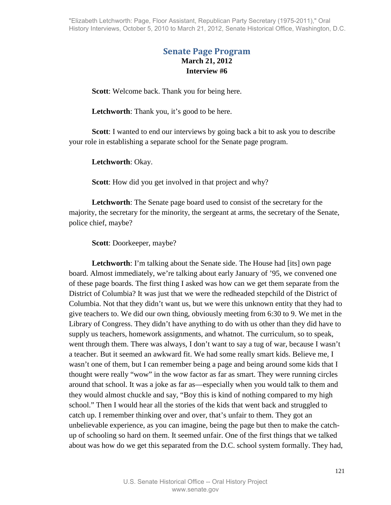"Elizabeth Letchworth: Page, Floor Assistant, Republican Party Secretary (1975-2011)," Oral History Interviews, October 5, 2010 to March 21, 2012, Senate Historical Office, Washington, D.C.

## **Senate Page Program March 21, 2012 Interview #6**

**Scott**: Welcome back. Thank you for being here.

Letchworth: Thank you, it's good to be here.

**Scott**: I wanted to end our interviews by going back a bit to ask you to describe your role in establishing a separate school for the Senate page program.

**Letchworth**: Okay.

**Scott**: How did you get involved in that project and why?

**Letchworth**: The Senate page board used to consist of the secretary for the majority, the secretary for the minority, the sergeant at arms, the secretary of the Senate, police chief, maybe?

**Scott**: Doorkeeper, maybe?

**Letchworth**: I'm talking about the Senate side. The House had [its] own page board. Almost immediately, we're talking about early January of '95, we convened one of these page boards. The first thing I asked was how can we get them separate from the District of Columbia? It was just that we were the redheaded stepchild of the District of Columbia. Not that they didn't want us, but we were this unknown entity that they had to give teachers to. We did our own thing, obviously meeting from 6:30 to 9. We met in the Library of Congress. They didn't have anything to do with us other than they did have to supply us teachers, homework assignments, and whatnot. The curriculum, so to speak, went through them. There was always, I don't want to say a tug of war, because I wasn't a teacher. But it seemed an awkward fit. We had some really smart kids. Believe me, I wasn't one of them, but I can remember being a page and being around some kids that I thought were really "wow" in the wow factor as far as smart. They were running circles around that school. It was a joke as far as—especially when you would talk to them and they would almost chuckle and say, "Boy this is kind of nothing compared to my high school." Then I would hear all the stories of the kids that went back and struggled to catch up. I remember thinking over and over, that's unfair to them. They got an unbelievable experience, as you can imagine, being the page but then to make the catchup of schooling so hard on them. It seemed unfair. One of the first things that we talked about was how do we get this separated from the D.C. school system formally. They had,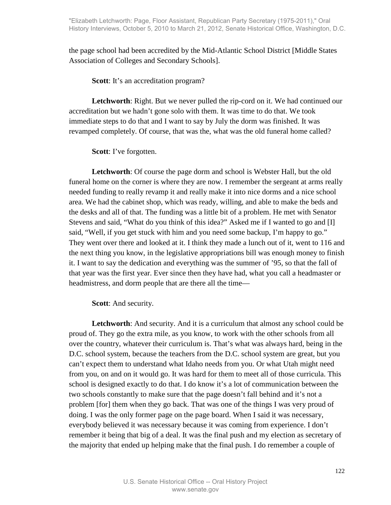the page school had been accredited by the Mid-Atlantic School District [Middle States Association of Colleges and Secondary Schools].

**Scott**: It's an accreditation program?

**Letchworth**: Right. But we never pulled the rip-cord on it. We had continued our accreditation but we hadn't gone solo with them. It was time to do that. We took immediate steps to do that and I want to say by July the dorm was finished. It was revamped completely. Of course, that was the, what was the old funeral home called?

**Scott**: I've forgotten.

**Letchworth**: Of course the page dorm and school is Webster Hall, but the old funeral home on the corner is where they are now. I remember the sergeant at arms really needed funding to really revamp it and really make it into nice dorms and a nice school area. We had the cabinet shop, which was ready, willing, and able to make the beds and the desks and all of that. The funding was a little bit of a problem. He met with Senator Stevens and said, "What do you think of this idea?" Asked me if I wanted to go and [I] said, "Well, if you get stuck with him and you need some backup, I'm happy to go." They went over there and looked at it. I think they made a lunch out of it, went to 116 and the next thing you know, in the legislative appropriations bill was enough money to finish it. I want to say the dedication and everything was the summer of '95, so that the fall of that year was the first year. Ever since then they have had, what you call a headmaster or headmistress, and dorm people that are there all the time—

**Scott**: And security.

**Letchworth**: And security. And it is a curriculum that almost any school could be proud of. They go the extra mile, as you know, to work with the other schools from all over the country, whatever their curriculum is. That's what was always hard, being in the D.C. school system, because the teachers from the D.C. school system are great, but you can't expect them to understand what Idaho needs from you. Or what Utah might need from you, on and on it would go. It was hard for them to meet all of those curricula. This school is designed exactly to do that. I do know it's a lot of communication between the two schools constantly to make sure that the page doesn't fall behind and it's not a problem [for] them when they go back. That was one of the things I was very proud of doing. I was the only former page on the page board. When I said it was necessary, everybody believed it was necessary because it was coming from experience. I don't remember it being that big of a deal. It was the final push and my election as secretary of the majority that ended up helping make that the final push. I do remember a couple of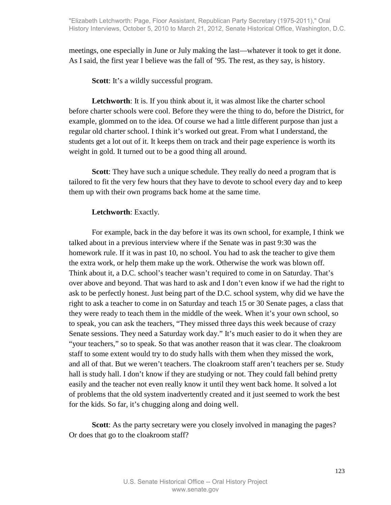meetings, one especially in June or July making the last—whatever it took to get it done. As I said, the first year I believe was the fall of '95. The rest, as they say, is history.

**Scott**: It's a wildly successful program.

Letchworth: It is. If you think about it, it was almost like the charter school before charter schools were cool. Before they were the thing to do, before the District, for example, glommed on to the idea. Of course we had a little different purpose than just a regular old charter school. I think it's worked out great. From what I understand, the students get a lot out of it. It keeps them on track and their page experience is worth its weight in gold. It turned out to be a good thing all around.

**Scott**: They have such a unique schedule. They really do need a program that is tailored to fit the very few hours that they have to devote to school every day and to keep them up with their own programs back home at the same time.

## **Letchworth**: Exactly.

For example, back in the day before it was its own school, for example, I think we talked about in a previous interview where if the Senate was in past 9:30 was the homework rule. If it was in past 10, no school. You had to ask the teacher to give them the extra work, or help them make up the work. Otherwise the work was blown off. Think about it, a D.C. school's teacher wasn't required to come in on Saturday. That's over above and beyond. That was hard to ask and I don't even know if we had the right to ask to be perfectly honest. Just being part of the D.C. school system, why did we have the right to ask a teacher to come in on Saturday and teach 15 or 30 Senate pages, a class that they were ready to teach them in the middle of the week. When it's your own school, so to speak, you can ask the teachers, "They missed three days this week because of crazy Senate sessions. They need a Saturday work day." It's much easier to do it when they are "your teachers," so to speak. So that was another reason that it was clear. The cloakroom staff to some extent would try to do study halls with them when they missed the work, and all of that. But we weren't teachers. The cloakroom staff aren't teachers per se. Study hall is study hall. I don't know if they are studying or not. They could fall behind pretty easily and the teacher not even really know it until they went back home. It solved a lot of problems that the old system inadvertently created and it just seemed to work the best for the kids. So far, it's chugging along and doing well.

**Scott**: As the party secretary were you closely involved in managing the pages? Or does that go to the cloakroom staff?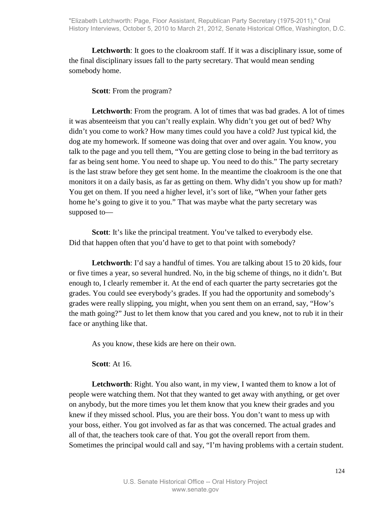Letchworth: It goes to the cloakroom staff. If it was a disciplinary issue, some of the final disciplinary issues fall to the party secretary. That would mean sending somebody home.

**Scott**: From the program?

**Letchworth**: From the program. A lot of times that was bad grades. A lot of times it was absenteeism that you can't really explain. Why didn't you get out of bed? Why didn't you come to work? How many times could you have a cold? Just typical kid, the dog ate my homework. If someone was doing that over and over again. You know, you talk to the page and you tell them, "You are getting close to being in the bad territory as far as being sent home. You need to shape up. You need to do this." The party secretary is the last straw before they get sent home. In the meantime the cloakroom is the one that monitors it on a daily basis, as far as getting on them. Why didn't you show up for math? You get on them. If you need a higher level, it's sort of like, "When your father gets home he's going to give it to you." That was maybe what the party secretary was supposed to—

**Scott**: It's like the principal treatment. You've talked to everybody else. Did that happen often that you'd have to get to that point with somebody?

Letchworth: I'd say a handful of times. You are talking about 15 to 20 kids, four or five times a year, so several hundred. No, in the big scheme of things, no it didn't. But enough to, I clearly remember it. At the end of each quarter the party secretaries got the grades. You could see everybody's grades. If you had the opportunity and somebody's grades were really slipping, you might, when you sent them on an errand, say, "How's the math going?" Just to let them know that you cared and you knew, not to rub it in their face or anything like that.

As you know, these kids are here on their own.

**Scott**: At 16.

Letchworth: Right. You also want, in my view, I wanted them to know a lot of people were watching them. Not that they wanted to get away with anything, or get over on anybody, but the more times you let them know that you knew their grades and you knew if they missed school. Plus, you are their boss. You don't want to mess up with your boss, either. You got involved as far as that was concerned. The actual grades and all of that, the teachers took care of that. You got the overall report from them. Sometimes the principal would call and say, "I'm having problems with a certain student.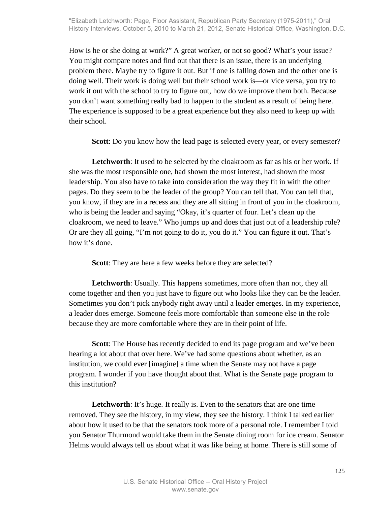How is he or she doing at work?" A great worker, or not so good? What's your issue? You might compare notes and find out that there is an issue, there is an underlying problem there. Maybe try to figure it out. But if one is falling down and the other one is doing well. Their work is doing well but their school work is—or vice versa, you try to work it out with the school to try to figure out, how do we improve them both. Because you don't want something really bad to happen to the student as a result of being here. The experience is supposed to be a great experience but they also need to keep up with their school.

**Scott**: Do you know how the lead page is selected every year, or every semester?

**Letchworth**: It used to be selected by the cloakroom as far as his or her work. If she was the most responsible one, had shown the most interest, had shown the most leadership. You also have to take into consideration the way they fit in with the other pages. Do they seem to be the leader of the group? You can tell that. You can tell that, you know, if they are in a recess and they are all sitting in front of you in the cloakroom, who is being the leader and saying "Okay, it's quarter of four. Let's clean up the cloakroom, we need to leave." Who jumps up and does that just out of a leadership role? Or are they all going, "I'm not going to do it, you do it." You can figure it out. That's how it's done.

**Scott**: They are here a few weeks before they are selected?

**Letchworth**: Usually. This happens sometimes, more often than not, they all come together and then you just have to figure out who looks like they can be the leader. Sometimes you don't pick anybody right away until a leader emerges. In my experience, a leader does emerge. Someone feels more comfortable than someone else in the role because they are more comfortable where they are in their point of life.

**Scott**: The House has recently decided to end its page program and we've been hearing a lot about that over here. We've had some questions about whether, as an institution, we could ever [imagine] a time when the Senate may not have a page program. I wonder if you have thought about that. What is the Senate page program to this institution?

Letchworth: It's huge. It really is. Even to the senators that are one time removed. They see the history, in my view, they see the history. I think I talked earlier about how it used to be that the senators took more of a personal role. I remember I told you Senator Thurmond would take them in the Senate dining room for ice cream. Senator Helms would always tell us about what it was like being at home. There is still some of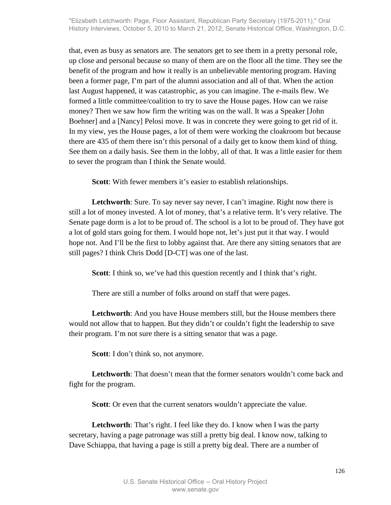that, even as busy as senators are. The senators get to see them in a pretty personal role, up close and personal because so many of them are on the floor all the time. They see the benefit of the program and how it really is an unbelievable mentoring program. Having been a former page, I'm part of the alumni association and all of that. When the action last August happened, it was catastrophic, as you can imagine. The e-mails flew. We formed a little committee/coalition to try to save the House pages. How can we raise money? Then we saw how firm the writing was on the wall. It was a Speaker [John Boehner] and a [Nancy] Pelosi move. It was in concrete they were going to get rid of it. In my view, yes the House pages, a lot of them were working the cloakroom but because there are 435 of them there isn't this personal of a daily get to know them kind of thing. See them on a daily basis. See them in the lobby, all of that. It was a little easier for them to sever the program than I think the Senate would.

**Scott**: With fewer members it's easier to establish relationships.

**Letchworth**: Sure. To say never say never, I can't imagine. Right now there is still a lot of money invested. A lot of money, that's a relative term. It's very relative. The Senate page dorm is a lot to be proud of. The school is a lot to be proud of. They have got a lot of gold stars going for them. I would hope not, let's just put it that way. I would hope not. And I'll be the first to lobby against that. Are there any sitting senators that are still pages? I think Chris Dodd [D-CT] was one of the last.

**Scott**: I think so, we've had this question recently and I think that's right.

There are still a number of folks around on staff that were pages.

**Letchworth**: And you have House members still, but the House members there would not allow that to happen. But they didn't or couldn't fight the leadership to save their program. I'm not sure there is a sitting senator that was a page.

**Scott**: I don't think so, not anymore.

Letchworth: That doesn't mean that the former senators wouldn't come back and fight for the program.

**Scott**: Or even that the current senators wouldn't appreciate the value.

Letchworth: That's right. I feel like they do. I know when I was the party secretary, having a page patronage was still a pretty big deal. I know now, talking to Dave Schiappa, that having a page is still a pretty big deal. There are a number of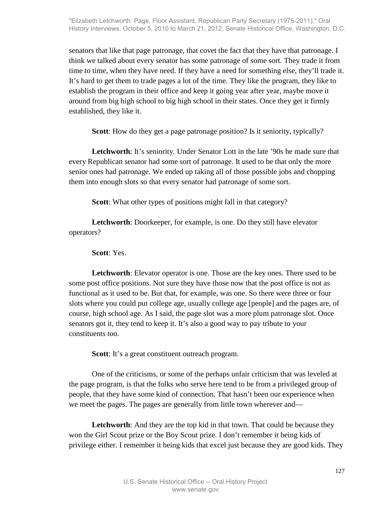senators that like that page patronage, that covet the fact that they have that patronage. I think we talked about every senator has some patronage of some sort. They trade it from time to time, when they have need. If they have a need for something else, they'll trade it. It's hard to get them to trade pages a lot of the time. They like the program, they like to establish the program in their office and keep it going year after year, maybe move it around from big high school to big high school in their states. Once they get it firmly established, they like it.

**Scott**: How do they get a page patronage position? Is it seniority, typically?

**Letchworth**: It's seniority. Under Senator Lott in the late '90s he made sure that every Republican senator had some sort of patronage. It used to be that only the more senior ones had patronage. We ended up taking all of those possible jobs and chopping them into enough slots so that every senator had patronage of some sort.

**Scott**: What other types of positions might fall in that category?

**Letchworth**: Doorkeeper, for example, is one. Do they still have elevator operators?

**Scott**: Yes.

**Letchworth**: Elevator operator is one. Those are the key ones. There used to be some post office positions. Not sure they have those now that the post office is not as functional as it used to be. But that, for example, was one. So there were three or four slots where you could put college age, usually college age [people] and the pages are, of course, high school age. As I said, the page slot was a more plum patronage slot. Once senators got it, they tend to keep it. It's also a good way to pay tribute to your constituents too.

**Scott**: It's a great constituent outreach program.

One of the criticisms, or some of the perhaps unfair criticism that was leveled at the page program, is that the folks who serve here tend to be from a privileged group of people, that they have some kind of connection. That hasn't been our experience when we meet the pages. The pages are generally from little town wherever and—

Letchworth: And they are the top kid in that town. That could be because they won the Girl Scout prize or the Boy Scout prize. I don't remember it being kids of privilege either. I remember it being kids that excel just because they are good kids. They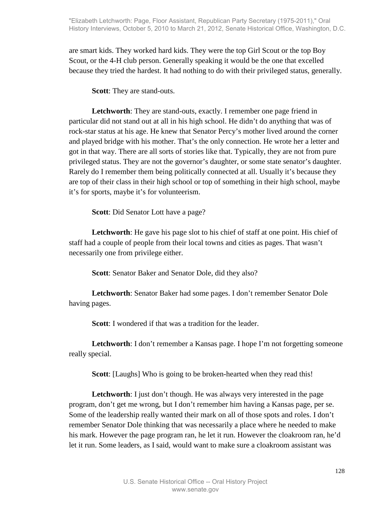are smart kids. They worked hard kids. They were the top Girl Scout or the top Boy Scout, or the 4-H club person. Generally speaking it would be the one that excelled because they tried the hardest. It had nothing to do with their privileged status, generally.

**Scott**: They are stand-outs.

**Letchworth**: They are stand-outs, exactly. I remember one page friend in particular did not stand out at all in his high school. He didn't do anything that was of rock-star status at his age. He knew that Senator Percy's mother lived around the corner and played bridge with his mother. That's the only connection. He wrote her a letter and got in that way. There are all sorts of stories like that. Typically, they are not from pure privileged status. They are not the governor's daughter, or some state senator's daughter. Rarely do I remember them being politically connected at all. Usually it's because they are top of their class in their high school or top of something in their high school, maybe it's for sports, maybe it's for volunteerism.

**Scott**: Did Senator Lott have a page?

**Letchworth**: He gave his page slot to his chief of staff at one point. His chief of staff had a couple of people from their local towns and cities as pages. That wasn't necessarily one from privilege either.

**Scott**: Senator Baker and Senator Dole, did they also?

**Letchworth**: Senator Baker had some pages. I don't remember Senator Dole having pages.

**Scott**: I wondered if that was a tradition for the leader.

Letchworth: I don't remember a Kansas page. I hope I'm not forgetting someone really special.

**Scott**: [Laughs] Who is going to be broken-hearted when they read this!

Letchworth: I just don't though. He was always very interested in the page program, don't get me wrong, but I don't remember him having a Kansas page, per se. Some of the leadership really wanted their mark on all of those spots and roles. I don't remember Senator Dole thinking that was necessarily a place where he needed to make his mark. However the page program ran, he let it run. However the cloakroom ran, he'd let it run. Some leaders, as I said, would want to make sure a cloakroom assistant was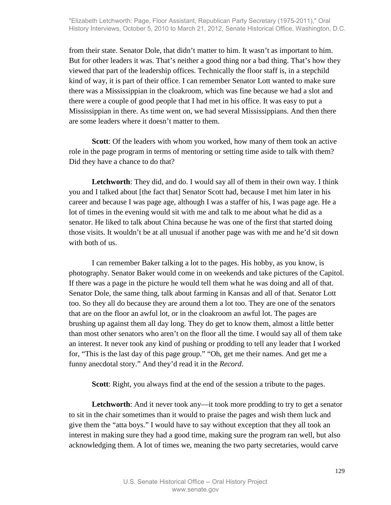from their state. Senator Dole, that didn't matter to him. It wasn't as important to him. But for other leaders it was. That's neither a good thing nor a bad thing. That's how they viewed that part of the leadership offices. Technically the floor staff is, in a stepchild kind of way, it is part of their office. I can remember Senator Lott wanted to make sure there was a Mississippian in the cloakroom, which was fine because we had a slot and there were a couple of good people that I had met in his office. It was easy to put a Mississippian in there. As time went on, we had several Mississippians. And then there are some leaders where it doesn't matter to them.

**Scott**: Of the leaders with whom you worked, how many of them took an active role in the page program in terms of mentoring or setting time aside to talk with them? Did they have a chance to do that?

**Letchworth**: They did, and do. I would say all of them in their own way. I think you and I talked about [the fact that] Senator Scott had, because I met him later in his career and because I was page age, although I was a staffer of his, I was page age. He a lot of times in the evening would sit with me and talk to me about what he did as a senator. He liked to talk about China because he was one of the first that started doing those visits. It wouldn't be at all unusual if another page was with me and he'd sit down with both of us.

I can remember Baker talking a lot to the pages. His hobby, as you know, is photography. Senator Baker would come in on weekends and take pictures of the Capitol. If there was a page in the picture he would tell them what he was doing and all of that. Senator Dole, the same thing, talk about farming in Kansas and all of that. Senator Lott too. So they all do because they are around them a lot too. They are one of the senators that are on the floor an awful lot, or in the cloakroom an awful lot. The pages are brushing up against them all day long. They do get to know them, almost a little better than most other senators who aren't on the floor all the time. I would say all of them take an interest. It never took any kind of pushing or prodding to tell any leader that I worked for, "This is the last day of this page group." "Oh, get me their names. And get me a funny anecdotal story." And they'd read it in the *Record*.

**Scott**: Right, you always find at the end of the session a tribute to the pages.

Letchworth: And it never took any—it took more prodding to try to get a senator to sit in the chair sometimes than it would to praise the pages and wish them luck and give them the "atta boys." I would have to say without exception that they all took an interest in making sure they had a good time, making sure the program ran well, but also acknowledging them. A lot of times we, meaning the two party secretaries, would carve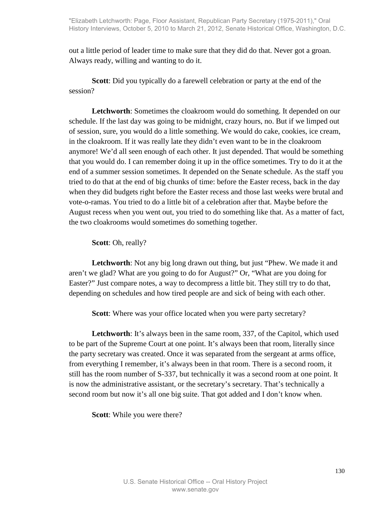out a little period of leader time to make sure that they did do that. Never got a groan. Always ready, willing and wanting to do it.

**Scott**: Did you typically do a farewell celebration or party at the end of the session?

**Letchworth**: Sometimes the cloakroom would do something. It depended on our schedule. If the last day was going to be midnight, crazy hours, no. But if we limped out of session, sure, you would do a little something. We would do cake, cookies, ice cream, in the cloakroom. If it was really late they didn't even want to be in the cloakroom anymore! We'd all seen enough of each other. It just depended. That would be something that you would do. I can remember doing it up in the office sometimes. Try to do it at the end of a summer session sometimes. It depended on the Senate schedule. As the staff you tried to do that at the end of big chunks of time: before the Easter recess, back in the day when they did budgets right before the Easter recess and those last weeks were brutal and vote-o-ramas. You tried to do a little bit of a celebration after that. Maybe before the August recess when you went out, you tried to do something like that. As a matter of fact, the two cloakrooms would sometimes do something together.

**Scott**: Oh, really?

**Letchworth**: Not any big long drawn out thing, but just "Phew. We made it and aren't we glad? What are you going to do for August?" Or, "What are you doing for Easter?" Just compare notes, a way to decompress a little bit. They still try to do that, depending on schedules and how tired people are and sick of being with each other.

**Scott**: Where was your office located when you were party secretary?

Letchworth: It's always been in the same room, 337, of the Capitol, which used to be part of the Supreme Court at one point. It's always been that room, literally since the party secretary was created. Once it was separated from the sergeant at arms office, from everything I remember, it's always been in that room. There is a second room, it still has the room number of S-337, but technically it was a second room at one point. It is now the administrative assistant, or the secretary's secretary. That's technically a second room but now it's all one big suite. That got added and I don't know when.

**Scott**: While you were there?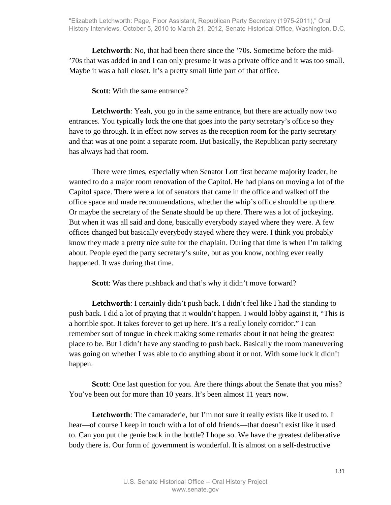**Letchworth**: No, that had been there since the '70s. Sometime before the mid- '70s that was added in and I can only presume it was a private office and it was too small. Maybe it was a hall closet. It's a pretty small little part of that office.

**Scott**: With the same entrance?

**Letchworth**: Yeah, you go in the same entrance, but there are actually now two entrances. You typically lock the one that goes into the party secretary's office so they have to go through. It in effect now serves as the reception room for the party secretary and that was at one point a separate room. But basically, the Republican party secretary has always had that room.

There were times, especially when Senator Lott first became majority leader, he wanted to do a major room renovation of the Capitol. He had plans on moving a lot of the Capitol space. There were a lot of senators that came in the office and walked off the office space and made recommendations, whether the whip's office should be up there. Or maybe the secretary of the Senate should be up there. There was a lot of jockeying. But when it was all said and done, basically everybody stayed where they were. A few offices changed but basically everybody stayed where they were. I think you probably know they made a pretty nice suite for the chaplain. During that time is when I'm talking about. People eyed the party secretary's suite, but as you know, nothing ever really happened. It was during that time.

**Scott**: Was there pushback and that's why it didn't move forward?

**Letchworth**: I certainly didn't push back. I didn't feel like I had the standing to push back. I did a lot of praying that it wouldn't happen. I would lobby against it, "This is a horrible spot. It takes forever to get up here. It's a really lonely corridor." I can remember sort of tongue in cheek making some remarks about it not being the greatest place to be. But I didn't have any standing to push back. Basically the room maneuvering was going on whether I was able to do anything about it or not. With some luck it didn't happen.

**Scott**: One last question for you. Are there things about the Senate that you miss? You've been out for more than 10 years. It's been almost 11 years now.

Letchworth: The camaraderie, but I'm not sure it really exists like it used to. I hear—of course I keep in touch with a lot of old friends—that doesn't exist like it used to. Can you put the genie back in the bottle? I hope so. We have the greatest deliberative body there is. Our form of government is wonderful. It is almost on a self-destructive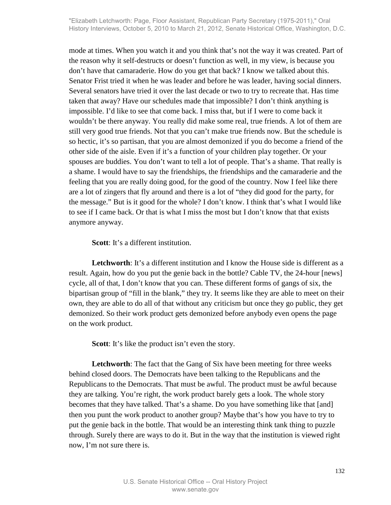mode at times. When you watch it and you think that's not the way it was created. Part of the reason why it self-destructs or doesn't function as well, in my view, is because you don't have that camaraderie. How do you get that back? I know we talked about this. Senator Frist tried it when he was leader and before he was leader, having social dinners. Several senators have tried it over the last decade or two to try to recreate that. Has time taken that away? Have our schedules made that impossible? I don't think anything is impossible. I'd like to see that come back. I miss that, but if I were to come back it wouldn't be there anyway. You really did make some real, true friends. A lot of them are still very good true friends. Not that you can't make true friends now. But the schedule is so hectic, it's so partisan, that you are almost demonized if you do become a friend of the other side of the aisle. Even if it's a function of your children play together. Or your spouses are buddies. You don't want to tell a lot of people. That's a shame. That really is a shame. I would have to say the friendships, the friendships and the camaraderie and the feeling that you are really doing good, for the good of the country. Now I feel like there are a lot of zingers that fly around and there is a lot of "they did good for the party, for the message." But is it good for the whole? I don't know. I think that's what I would like to see if I came back. Or that is what I miss the most but I don't know that that exists anymore anyway.

**Scott**: It's a different institution.

**Letchworth**: It's a different institution and I know the House side is different as a result. Again, how do you put the genie back in the bottle? Cable TV, the 24-hour [news] cycle, all of that, I don't know that you can. These different forms of gangs of six, the bipartisan group of "fill in the blank," they try. It seems like they are able to meet on their own, they are able to do all of that without any criticism but once they go public, they get demonized. So their work product gets demonized before anybody even opens the page on the work product.

Scott: It's like the product isn't even the story.

**Letchworth**: The fact that the Gang of Six have been meeting for three weeks behind closed doors. The Democrats have been talking to the Republicans and the Republicans to the Democrats. That must be awful. The product must be awful because they are talking. You're right, the work product barely gets a look. The whole story becomes that they have talked. That's a shame. Do you have something like that [and] then you punt the work product to another group? Maybe that's how you have to try to put the genie back in the bottle. That would be an interesting think tank thing to puzzle through. Surely there are ways to do it. But in the way that the institution is viewed right now, I'm not sure there is.